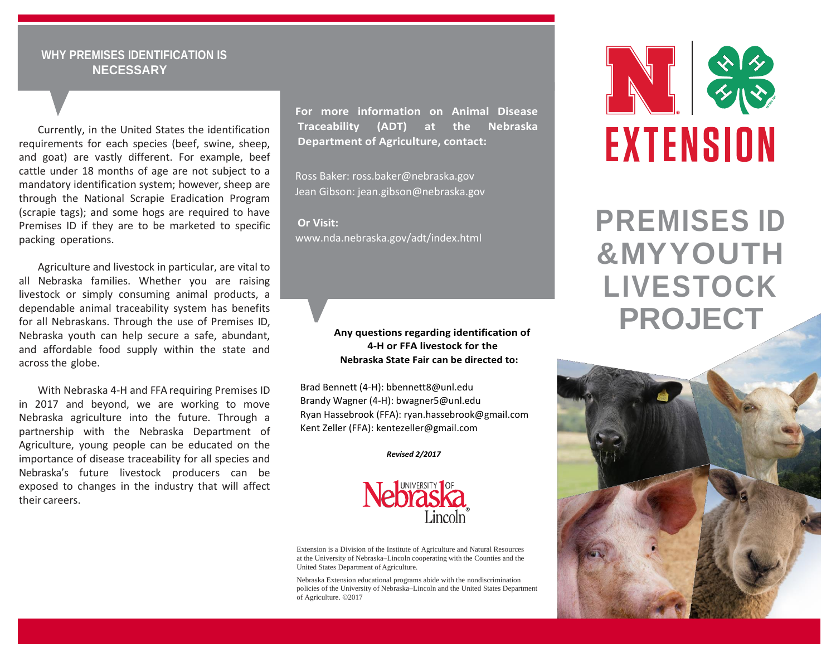# **WHY PREMISES IDENTIFICATION IS NECESSARY**

Currently, in the United States the identification requirements for each species (beef, swine, sheep, and goat) are vastly different. For example, beef cattle under 18 months of age are not subject to a mandatory identification system; however, sheep are through the National Scrapie Eradication Program (scrapie tags); and some hogs are required to have Premises ID if they are to be marketed to specific packing operations.

Agriculture and livestock in particular, are vital to all Nebraska families. Whether you are raising livestock or simply consuming animal products, a dependable animal traceability system has benefits for all Nebraskans. Through the use of Premises ID, Nebraska youth can help secure a safe, abundant, and affordable food supply within the state and across the globe.

With Nebraska 4-H and FFA requiring Premises ID in 2017 and beyond, we are working to move Nebraska agriculture into the future. Through a partnership with the Nebraska Department of Agriculture, young people can be educated on the importance of disease traceability for all species and Nebraska's future livestock producers can be exposed to changes in the industry that will affect their careers.

**For more information on Animal Disease Traceability (ADT) at the Nebraska Department of Agriculture, contact:**

Ross Baker[: ross.baker@nebraska.gov](mailto:ross.baker@nebraska.gov) Jean Gibson: [jean.gibson@nebraska.gov](mailto:jean.gibson@nebraska.gov)

**Or Visit:** [www.nda.nebraska.gov/adt/index.html](http://www.nda.nebraska.gov/adt/index.html)

### **Any questions regarding identification of 4-H or FFA livestock for the Nebraska State Fair can be directed to:**

Brad Bennett (4-H): [bbennett8@unl.edu](mailto:bbennett8@unl.edu) Brandy Wagner (4-H): [bwagner5@unl.edu](mailto:bwagner5@unl.edu) Ryan Hassebrook (FFA)[: ryan.hassebrook@gmail.com](mailto:ryan.hassebrook@gmail.com) Kent Zeller (FFA)[: kentezeller@gmail.com](mailto:kentezeller@gmail.com)

*Revised 2/2017*



Extension is a Division of the Institute of Agriculture and Natural Resources at the University of Nebraska–Lincoln cooperating with the Counties and the United States Department of Agriculture.

Nebraska Extension educational programs abide with the nondiscrimination policies of the University of Nebraska–Lincoln and the United States Department of Agriculture. ©2017



**PREMISES ID &MYYOUTH LIVESTOCK PROJECT**